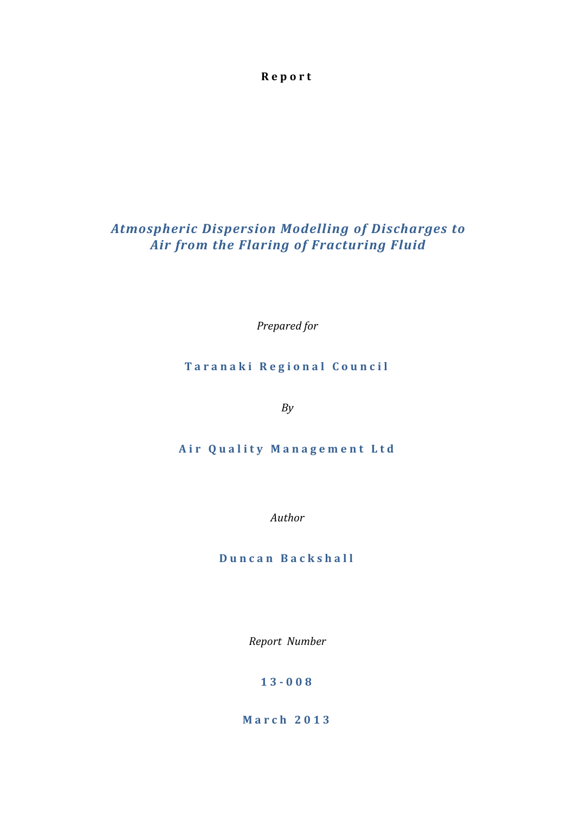**R e p o r t**

## *Atmospheric Dispersion Modelling of Discharges to Air from the Flaring of Fracturing Fluid*

*Prepared for*

### **T a r a n a k i R e g i o n a l C o u n c i l**

*By*

### **Air Quality Management Ltd**

*Author*

### **D u n c a n B a c k s h a l l**

*Report Number*

### **1 3 - 008**

### **M a r c h 2 0 1 3**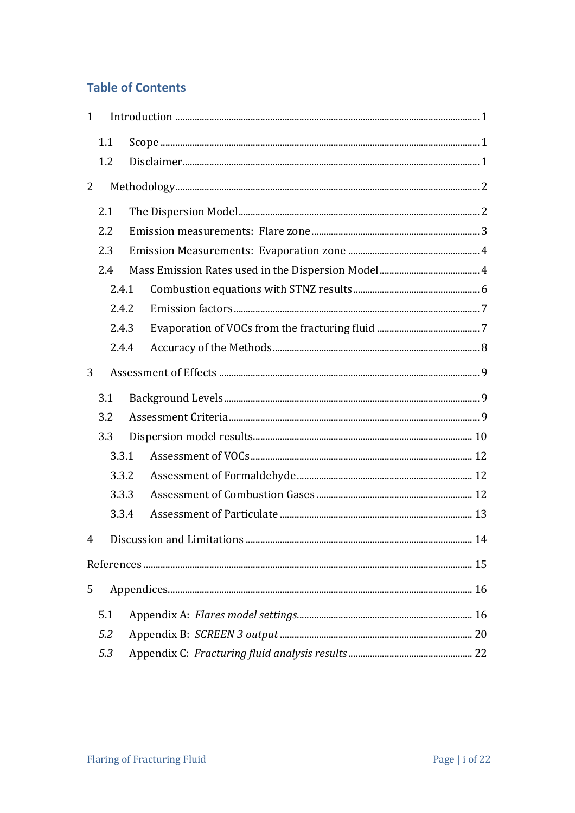## **Table of Contents**

| $\mathbf{1}$   |       |  |                             |    |
|----------------|-------|--|-----------------------------|----|
|                | 1.1   |  |                             |    |
|                | 1.2   |  |                             |    |
| 2              |       |  |                             |    |
|                | 2.1   |  |                             |    |
|                | 2.2   |  |                             |    |
|                | 2.3   |  |                             |    |
|                | 2.4   |  |                             |    |
|                | 2.4.1 |  |                             |    |
|                | 2.4.2 |  |                             |    |
|                | 2.4.3 |  |                             |    |
|                | 2.4.4 |  |                             |    |
| 3              |       |  |                             |    |
|                | 3.1   |  |                             |    |
|                | 3.2   |  |                             |    |
|                | 3.3   |  |                             |    |
|                | 3.3.1 |  |                             |    |
|                | 3.3.2 |  |                             |    |
|                | 3.3.3 |  |                             |    |
|                | 3.3.4 |  |                             |    |
| 4              |       |  | Discussion and Limitations. | 14 |
|                |       |  |                             |    |
| 5 <sup>1</sup> |       |  |                             |    |
|                | 5.1   |  |                             |    |
|                | 5.2   |  |                             |    |
|                | 5.3   |  |                             |    |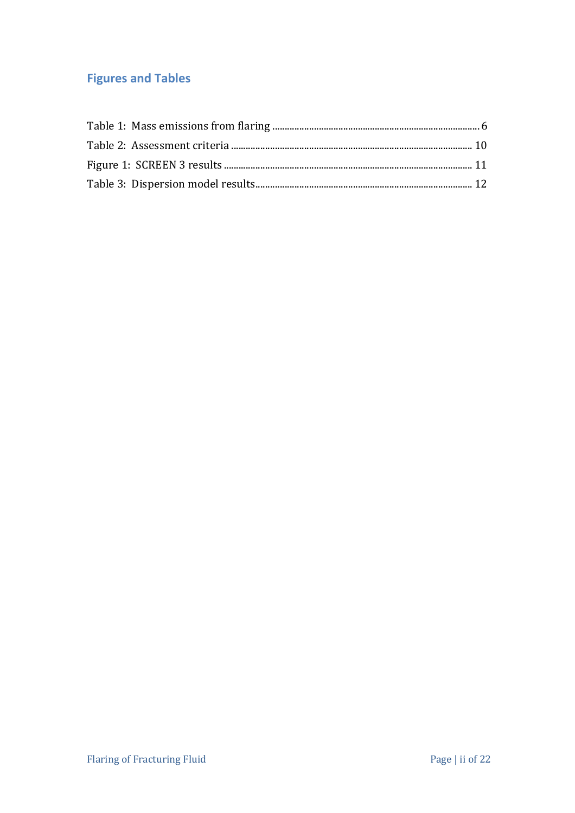# **Figures and Tables**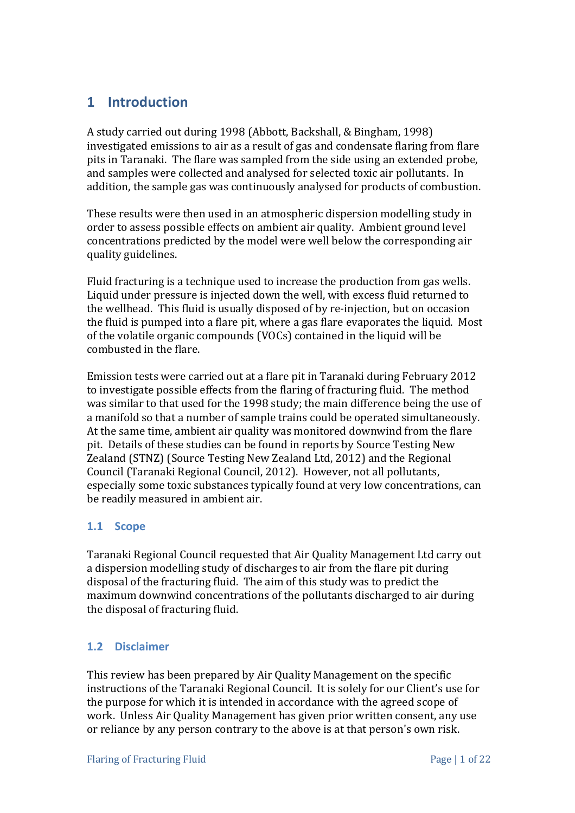## <span id="page-3-0"></span>**1 Introduction**

A study carried out during 1998 (Abbott, Backshall, & Bingham, 1998) investigated emissions to air as a result of gas and condensate flaring from flare pits in Taranaki. The flare was sampled from the side using an extended probe, and samples were collected and analysed for selected toxic air pollutants. In addition, the sample gas was continuously analysed for products of combustion.

These results were then used in an atmospheric dispersion modelling study in order to assess possible effects on ambient air quality. Ambient ground level concentrations predicted by the model were well below the corresponding air quality guidelines.

Fluid fracturing is a technique used to increase the production from gas wells. Liquid under pressure is injected down the well, with excess fluid returned to the wellhead. This fluid is usually disposed of by re-injection, but on occasion the fluid is pumped into a flare pit, where a gas flare evaporates the liquid. Most of the volatile organic compounds (VOCs) contained in the liquid will be combusted in the flare.

Emission tests were carried out at a flare pit in Taranaki during February 2012 to investigate possible effects from the flaring of fracturing fluid. The method was similar to that used for the 1998 study; the main difference being the use of a manifold so that a number of sample trains could be operated simultaneously. At the same time, ambient air quality was monitored downwind from the flare pit. Details of these studies can be found in reports by Source Testing New Zealand (STNZ) (Source Testing New Zealand Ltd, 2012) and the Regional Council (Taranaki Regional Council, 2012). However, not all pollutants, especially some toxic substances typically found at very low concentrations, can be readily measured in ambient air.

### <span id="page-3-1"></span>**1.1 Scope**

Taranaki Regional Council requested that Air Quality Management Ltd carry out a dispersion modelling study of discharges to air from the flare pit during disposal of the fracturing fluid. The aim of this study was to predict the maximum downwind concentrations of the pollutants discharged to air during the disposal of fracturing fluid.

### <span id="page-3-2"></span>**1.2 Disclaimer**

This review has been prepared by Air Quality Management on the specific instructions of the Taranaki Regional Council. It is solely for our Client's use for the purpose for which it is intended in accordance with the agreed scope of work. Unless Air Quality Management has given prior written consent, any use or reliance by any person contrary to the above is at that person's own risk.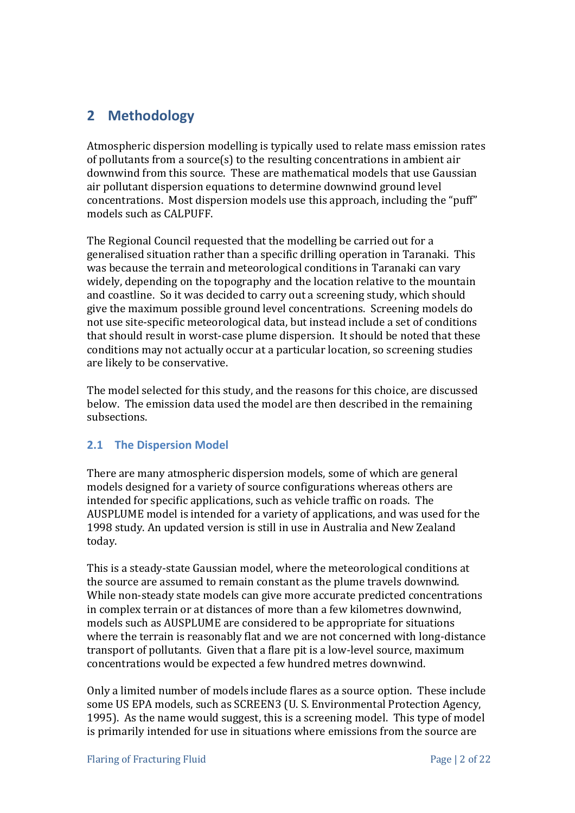## <span id="page-4-0"></span>**2 Methodology**

Atmospheric dispersion modelling is typically used to relate mass emission rates of pollutants from a source(s) to the resulting concentrations in ambient air downwind from this source. These are mathematical models that use Gaussian air pollutant dispersion equations to determine downwind ground level concentrations. Most dispersion models use this approach, including the "puff" models such as CALPUFF.

The Regional Council requested that the modelling be carried out for a generalised situation rather than a specific drilling operation in Taranaki. This was because the terrain and meteorological conditions in Taranaki can vary widely, depending on the topography and the location relative to the mountain and coastline. So it was decided to carry out a screening study, which should give the maximum possible ground level concentrations. Screening models do not use site-specific meteorological data, but instead include a set of conditions that should result in worst-case plume dispersion. It should be noted that these conditions may not actually occur at a particular location, so screening studies are likely to be conservative.

The model selected for this study, and the reasons for this choice, are discussed below. The emission data used the model are then described in the remaining subsections.

### <span id="page-4-1"></span>**2.1 The Dispersion Model**

There are many atmospheric dispersion models, some of which are general models designed for a variety of source configurations whereas others are intended for specific applications, such as vehicle traffic on roads. The AUSPLUME model is intended for a variety of applications, and was used for the 1998 study. An updated version is still in use in Australia and New Zealand today.

This is a steady-state Gaussian model, where the meteorological conditions at the source are assumed to remain constant as the plume travels downwind. While non-steady state models can give more accurate predicted concentrations in complex terrain or at distances of more than a few kilometres downwind, models such as AUSPLUME are considered to be appropriate for situations where the terrain is reasonably flat and we are not concerned with long-distance transport of pollutants. Given that a flare pit is a low-level source, maximum concentrations would be expected a few hundred metres downwind.

Only a limited number of models include flares as a source option. These include some US EPA models, such as SCREEN3 (U. S. Environmental Protection Agency, 1995). As the name would suggest, this is a screening model. This type of model is primarily intended for use in situations where emissions from the source are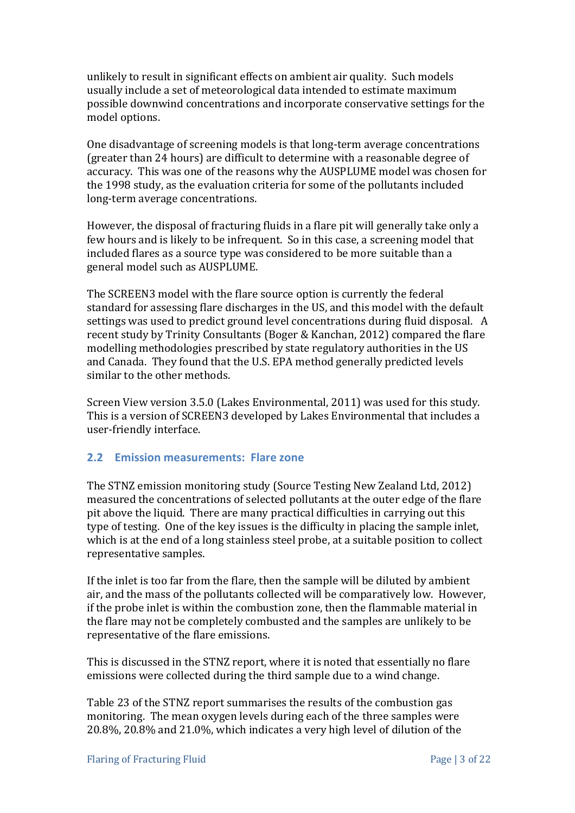unlikely to result in significant effects on ambient air quality. Such models usually include a set of meteorological data intended to estimate maximum possible downwind concentrations and incorporate conservative settings for the model options.

One disadvantage of screening models is that long-term average concentrations (greater than 24 hours) are difficult to determine with a reasonable degree of accuracy. This was one of the reasons why the AUSPLUME model was chosen for the 1998 study, as the evaluation criteria for some of the pollutants included long-term average concentrations.

However, the disposal of fracturing fluids in a flare pit will generally take only a few hours and is likely to be infrequent. So in this case, a screening model that included flares as a source type was considered to be more suitable than a general model such as AUSPLUME.

The SCREEN3 model with the flare source option is currently the federal standard for assessing flare discharges in the US, and this model with the default settings was used to predict ground level concentrations during fluid disposal. A recent study by Trinity Consultants (Boger & Kanchan, 2012) compared the flare modelling methodologies prescribed by state regulatory authorities in the US and Canada. They found that the U.S. EPA method generally predicted levels similar to the other methods.

Screen View version 3.5.0 (Lakes Environmental, 2011) was used for this study. This is a version of SCREEN3 developed by Lakes Environmental that includes a user-friendly interface.

### <span id="page-5-0"></span>**2.2 Emission measurements: Flare zone**

The STNZ emission monitoring study (Source Testing New Zealand Ltd, 2012) measured the concentrations of selected pollutants at the outer edge of the flare pit above the liquid. There are many practical difficulties in carrying out this type of testing. One of the key issues is the difficulty in placing the sample inlet, which is at the end of a long stainless steel probe, at a suitable position to collect representative samples.

If the inlet is too far from the flare, then the sample will be diluted by ambient air, and the mass of the pollutants collected will be comparatively low. However, if the probe inlet is within the combustion zone, then the flammable material in the flare may not be completely combusted and the samples are unlikely to be representative of the flare emissions.

This is discussed in the STNZ report, where it is noted that essentially no flare emissions were collected during the third sample due to a wind change.

Table 23 of the STNZ report summarises the results of the combustion gas monitoring. The mean oxygen levels during each of the three samples were 20.8%, 20.8% and 21.0%, which indicates a very high level of dilution of the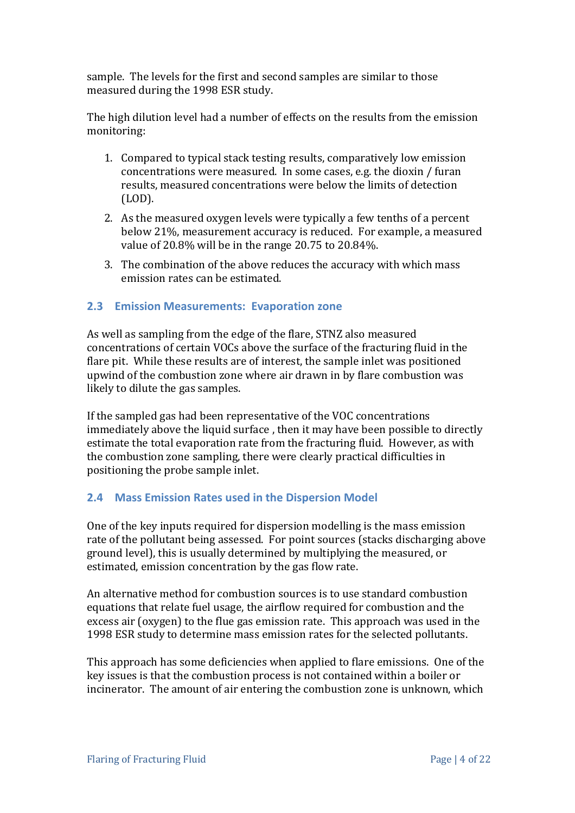sample. The levels for the first and second samples are similar to those measured during the 1998 ESR study.

The high dilution level had a number of effects on the results from the emission monitoring:

- 1. Compared to typical stack testing results, comparatively low emission concentrations were measured. In some cases, e.g. the dioxin / furan results, measured concentrations were below the limits of detection (LOD).
- 2. As the measured oxygen levels were typically a few tenths of a percent below 21%, measurement accuracy is reduced. For example, a measured value of 20.8% will be in the range 20.75 to 20.84%.
- 3. The combination of the above reduces the accuracy with which mass emission rates can be estimated.

### <span id="page-6-0"></span>**2.3 Emission Measurements: Evaporation zone**

As well as sampling from the edge of the flare, STNZ also measured concentrations of certain VOCs above the surface of the fracturing fluid in the flare pit. While these results are of interest, the sample inlet was positioned upwind of the combustion zone where air drawn in by flare combustion was likely to dilute the gas samples.

If the sampled gas had been representative of the VOC concentrations immediately above the liquid surface , then it may have been possible to directly estimate the total evaporation rate from the fracturing fluid. However, as with the combustion zone sampling, there were clearly practical difficulties in positioning the probe sample inlet.

### <span id="page-6-1"></span>**2.4 Mass Emission Rates used in the Dispersion Model**

One of the key inputs required for dispersion modelling is the mass emission rate of the pollutant being assessed. For point sources (stacks discharging above ground level), this is usually determined by multiplying the measured, or estimated, emission concentration by the gas flow rate.

An alternative method for combustion sources is to use standard combustion equations that relate fuel usage, the airflow required for combustion and the excess air (oxygen) to the flue gas emission rate. This approach was used in the 1998 ESR study to determine mass emission rates for the selected pollutants.

This approach has some deficiencies when applied to flare emissions. One of the key issues is that the combustion process is not contained within a boiler or incinerator. The amount of air entering the combustion zone is unknown, which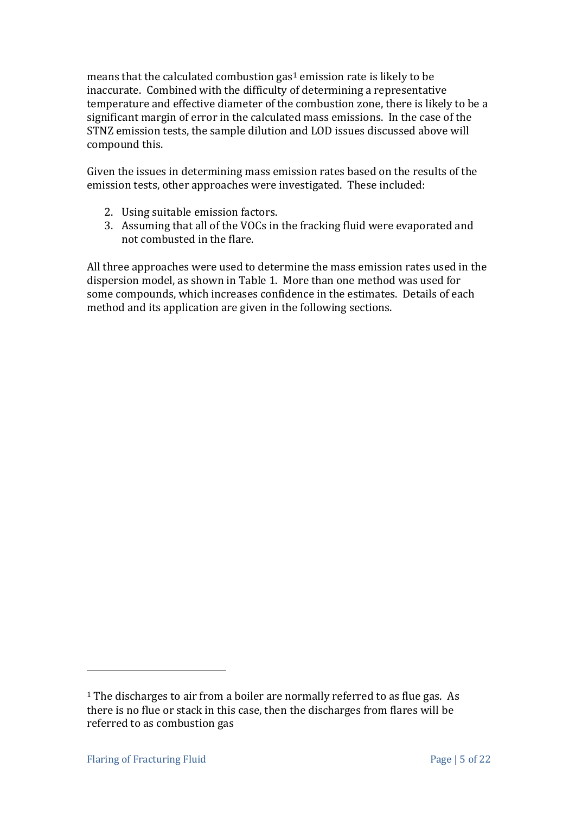means that the calculated combustion gas<sup>1</sup> emission rate is likely to be inaccurate. Combined with the difficulty of determining a representative temperature and effective diameter of the combustion zone, there is likely to be a significant margin of error in the calculated mass emissions. In the case of the STNZ emission tests, the sample dilution and LOD issues discussed above will compound this.

Given the issues in determining mass emission rates based on the results of the emission tests, other approaches were investigated. These included:

- 2. Using suitable emission factors.
- 3. Assuming that all of the VOCs in the fracking fluid were evaporated and not combusted in the flare.

<span id="page-7-0"></span>All three approaches were used to determine the mass emission rates used in the dispersion model, as shown in Table 1. More than one method was used for some compounds, which increases confidence in the estimates. Details of each method and its application are given in the following sections.

 $\overline{a}$ 

<sup>&</sup>lt;sup>1</sup> The discharges to air from a boiler are normally referred to as flue gas. As there is no flue or stack in this case, then the discharges from flares will be referred to as combustion gas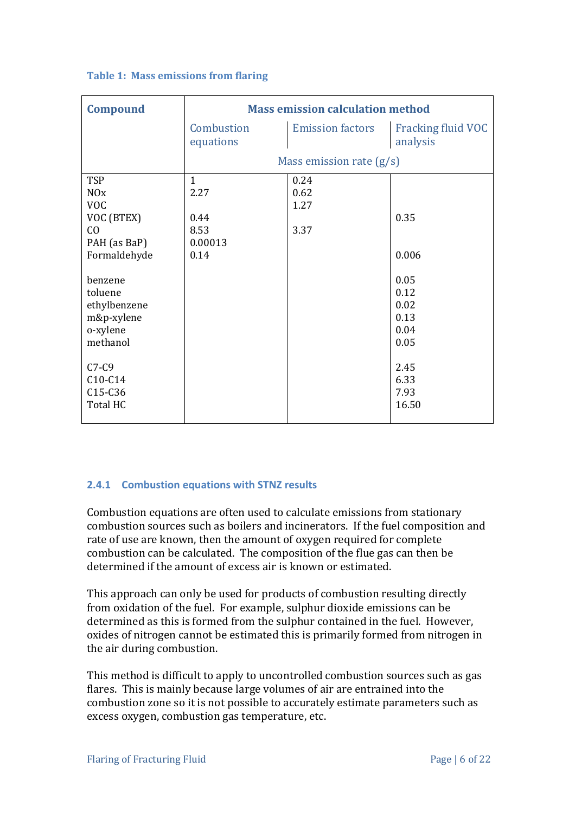| <b>Compound</b>                                                                                                   | <b>Mass emission calculation method</b>                 |                              |                                              |  |
|-------------------------------------------------------------------------------------------------------------------|---------------------------------------------------------|------------------------------|----------------------------------------------|--|
|                                                                                                                   | Combustion<br>equations                                 | <b>Emission factors</b>      | <b>Fracking fluid VOC</b><br>analysis        |  |
|                                                                                                                   |                                                         | Mass emission rate $(g/s)$   |                                              |  |
| <b>TSP</b><br><b>NO<sub>x</sub></b><br><b>VOC</b><br>VOC (BTEX)<br>C <sub>0</sub><br>PAH (as BaP)<br>Formaldehyde | $\mathbf{1}$<br>2.27<br>0.44<br>8.53<br>0.00013<br>0.14 | 0.24<br>0.62<br>1.27<br>3.37 | 0.35<br>0.006                                |  |
| benzene<br>toluene<br>ethylbenzene<br>m&p-xylene<br>o-xylene<br>methanol                                          |                                                         |                              | 0.05<br>0.12<br>0.02<br>0.13<br>0.04<br>0.05 |  |
| $C7-C9$<br>$C10-C14$<br>C15-C36<br><b>Total HC</b>                                                                |                                                         |                              | 2.45<br>6.33<br>7.93<br>16.50                |  |

#### **Table 1: Mass emissions from flaring**

### <span id="page-8-0"></span>**2.4.1 Combustion equations with STNZ results**

Combustion equations are often used to calculate emissions from stationary combustion sources such as boilers and incinerators. If the fuel composition and rate of use are known, then the amount of oxygen required for complete combustion can be calculated. The composition of the flue gas can then be determined if the amount of excess air is known or estimated.

This approach can only be used for products of combustion resulting directly from oxidation of the fuel. For example, sulphur dioxide emissions can be determined as this is formed from the sulphur contained in the fuel. However, oxides of nitrogen cannot be estimated this is primarily formed from nitrogen in the air during combustion.

This method is difficult to apply to uncontrolled combustion sources such as gas flares. This is mainly because large volumes of air are entrained into the combustion zone so it is not possible to accurately estimate parameters such as excess oxygen, combustion gas temperature, etc.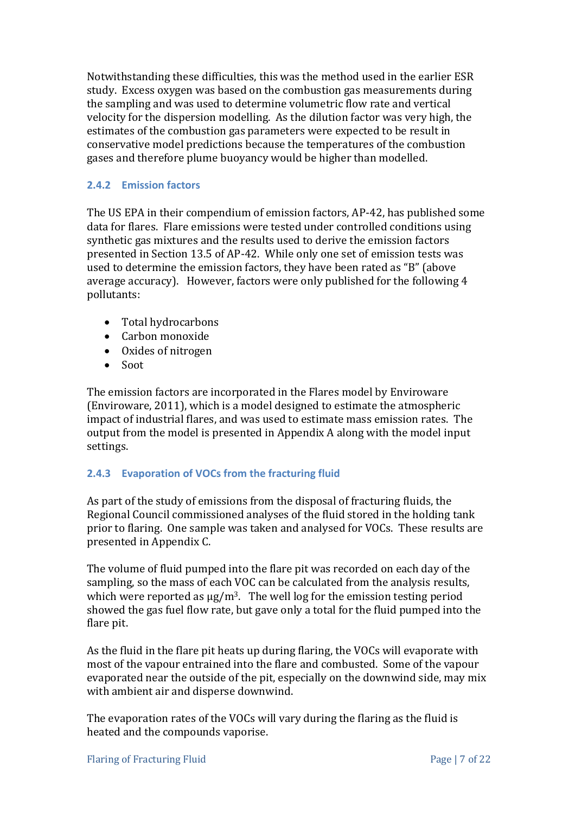Notwithstanding these difficulties, this was the method used in the earlier ESR study. Excess oxygen was based on the combustion gas measurements during the sampling and was used to determine volumetric flow rate and vertical velocity for the dispersion modelling. As the dilution factor was very high, the estimates of the combustion gas parameters were expected to be result in conservative model predictions because the temperatures of the combustion gases and therefore plume buoyancy would be higher than modelled.

#### <span id="page-9-0"></span>**2.4.2 Emission factors**

The US EPA in their compendium of emission factors, AP-42, has published some data for flares. Flare emissions were tested under controlled conditions using synthetic gas mixtures and the results used to derive the emission factors presented in Section 13.5 of AP-42. While only one set of emission tests was used to determine the emission factors, they have been rated as "B" (above average accuracy). However, factors were only published for the following 4 pollutants:

- Total hydrocarbons
- Carbon monoxide
- Oxides of nitrogen
- Soot

The emission factors are incorporated in the Flares model by Enviroware (Enviroware, 2011), which is a model designed to estimate the atmospheric impact of industrial flares, and was used to estimate mass emission rates. The output from the model is presented in Appendix A along with the model input settings.

### <span id="page-9-1"></span>**2.4.3 Evaporation of VOCs from the fracturing fluid**

As part of the study of emissions from the disposal of fracturing fluids, the Regional Council commissioned analyses of the fluid stored in the holding tank prior to flaring. One sample was taken and analysed for VOCs. These results are presented in Appendix C.

The volume of fluid pumped into the flare pit was recorded on each day of the sampling, so the mass of each VOC can be calculated from the analysis results, which were reported as  $\mu$ g/m<sup>3</sup>. The well log for the emission testing period showed the gas fuel flow rate, but gave only a total for the fluid pumped into the flare pit.

As the fluid in the flare pit heats up during flaring, the VOCs will evaporate with most of the vapour entrained into the flare and combusted. Some of the vapour evaporated near the outside of the pit, especially on the downwind side, may mix with ambient air and disperse downwind.

The evaporation rates of the VOCs will vary during the flaring as the fluid is heated and the compounds vaporise.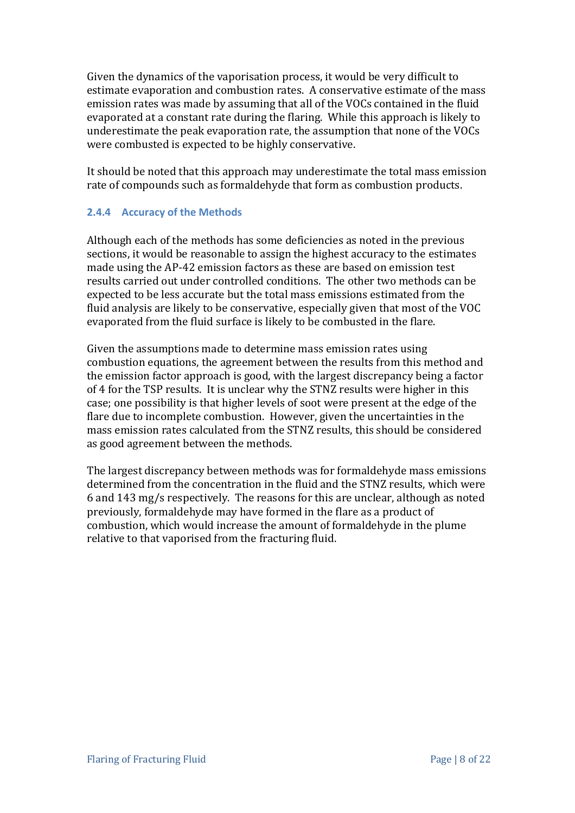Given the dynamics of the vaporisation process, it would be very difficult to estimate evaporation and combustion rates. A conservative estimate of the mass emission rates was made by assuming that all of the VOCs contained in the fluid evaporated at a constant rate during the flaring. While this approach is likely to underestimate the peak evaporation rate, the assumption that none of the VOCs were combusted is expected to be highly conservative.

It should be noted that this approach may underestimate the total mass emission rate of compounds such as formaldehyde that form as combustion products.

### <span id="page-10-0"></span>**2.4.4 Accuracy of the Methods**

Although each of the methods has some deficiencies as noted in the previous sections, it would be reasonable to assign the highest accuracy to the estimates made using the AP-42 emission factors as these are based on emission test results carried out under controlled conditions. The other two methods can be expected to be less accurate but the total mass emissions estimated from the fluid analysis are likely to be conservative, especially given that most of the VOC evaporated from the fluid surface is likely to be combusted in the flare.

Given the assumptions made to determine mass emission rates using combustion equations, the agreement between the results from this method and the emission factor approach is good, with the largest discrepancy being a factor of 4 for the TSP results. It is unclear why the STNZ results were higher in this case; one possibility is that higher levels of soot were present at the edge of the flare due to incomplete combustion. However, given the uncertainties in the mass emission rates calculated from the STNZ results, this should be considered as good agreement between the methods.

The largest discrepancy between methods was for formaldehyde mass emissions determined from the concentration in the fluid and the STNZ results, which were 6 and 143 mg/s respectively. The reasons for this are unclear, although as noted previously, formaldehyde may have formed in the flare as a product of combustion, which would increase the amount of formaldehyde in the plume relative to that vaporised from the fracturing fluid.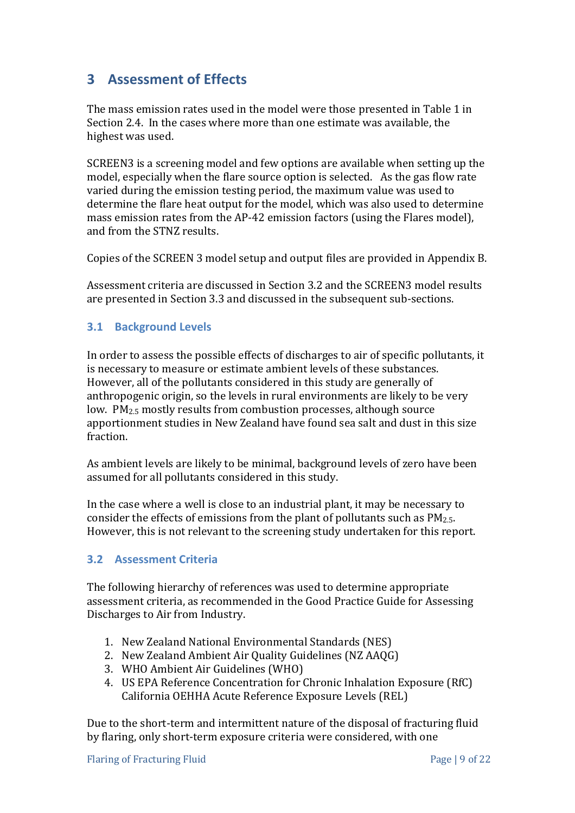## <span id="page-11-0"></span>**3 Assessment of Effects**

The mass emission rates used in the model were those presented in Table 1 in Section 2.4. In the cases where more than one estimate was available, the highest was used.

SCREEN3 is a screening model and few options are available when setting up the model, especially when the flare source option is selected. As the gas flow rate varied during the emission testing period, the maximum value was used to determine the flare heat output for the model, which was also used to determine mass emission rates from the AP-42 emission factors (using the Flares model), and from the STNZ results.

Copies of the SCREEN 3 model setup and output files are provided in Appendix B.

Assessment criteria are discussed in Section 3.2 and the SCREEN3 model results are presented in Section 3.3 and discussed in the subsequent sub-sections.

### <span id="page-11-1"></span>**3.1 Background Levels**

In order to assess the possible effects of discharges to air of specific pollutants, it is necessary to measure or estimate ambient levels of these substances. However, all of the pollutants considered in this study are generally of anthropogenic origin, so the levels in rural environments are likely to be very low. PM2.5 mostly results from combustion processes, although source apportionment studies in New Zealand have found sea salt and dust in this size fraction.

As ambient levels are likely to be minimal, background levels of zero have been assumed for all pollutants considered in this study.

In the case where a well is close to an industrial plant, it may be necessary to consider the effects of emissions from the plant of pollutants such as  $PM_{2.5}$ . However, this is not relevant to the screening study undertaken for this report.

### <span id="page-11-2"></span>**3.2 Assessment Criteria**

The following hierarchy of references was used to determine appropriate assessment criteria, as recommended in the Good Practice Guide for Assessing Discharges to Air from Industry.

- 1. New Zealand National Environmental Standards (NES)
- 2. New Zealand Ambient Air Quality Guidelines (NZ AAQG)
- 3. WHO Ambient Air Guidelines (WHO)
- 4. US EPA Reference Concentration for Chronic Inhalation Exposure (RfC) California OEHHA Acute Reference Exposure Levels (REL)

Due to the short-term and intermittent nature of the disposal of fracturing fluid by flaring, only short-term exposure criteria were considered, with one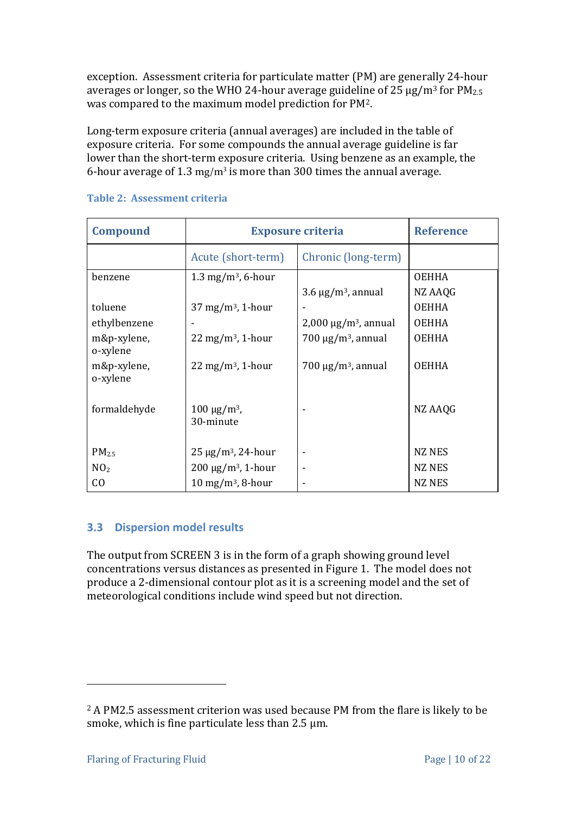exception. Assessment criteria for particulate matter (PM) are generally 24-hour averages or longer, so the WHO 24-hour average guideline of 25  $\mu$ g/m<sup>3</sup> for PM<sub>2.5</sub> was compared to the maximum model prediction for PM2.

Long-term exposure criteria (annual averages) are included in the table of exposure criteria. For some compounds the annual average guideline is far lower than the short-term exposure criteria. Using benzene as an example, the 6-hour average of  $1.3 \text{ mg/m}^3$  is more than 300 times the annual average.

| <b>Compound</b>         | <b>Exposure criteria</b>       | <b>Reference</b>                      |               |
|-------------------------|--------------------------------|---------------------------------------|---------------|
|                         | Acute (short-term)             | Chronic (long-term)                   |               |
| benzene                 | $1.3 \text{ mg/m}^3$ , 6-hour  |                                       | <b>OEHHA</b>  |
|                         |                                | $3.6 \,\mathrm{\upmu g/m^3}$ , annual | NZ AAQG       |
| toluene                 | $37 \text{ mg/m}^3$ , 1-hour   |                                       | <b>OEHHA</b>  |
| ethylbenzene            |                                | $2,000 \mu g/m3$ , annual             | <b>OEHHA</b>  |
| m&p-xylene,<br>o-xylene | $22 \text{ mg/m}^3$ , 1-hour   | $700 \mu g/m^3$ , annual              | <b>OEHHA</b>  |
| m&p-xylene,<br>o-xylene | $22 \text{ mg/m}^3$ , 1-hour   | $700 \mu g/m^3$ , annual              | <b>OEHHA</b>  |
| formaldehyde            | $100 \mu g/m^3$ ,<br>30-minute |                                       | NZ AAQG       |
| PM <sub>2.5</sub>       | $25 \mu g/m^3$ , 24-hour       | $\overline{\phantom{0}}$              | <b>NZ NES</b> |
| NO <sub>2</sub>         | $200 \mu g/m^3$ , 1-hour       |                                       | <b>NZ NES</b> |
| CO                      | $10 \text{ mg/m}^3$ , 8-hour   |                                       | <b>NZ NES</b> |

#### <span id="page-12-1"></span>**Table 2: Assessment criteria**

### <span id="page-12-0"></span>**3.3 Dispersion model results**

The output from SCREEN 3 is in the form of a graph showing ground level concentrations versus distances as presented in Figure 1. The model does not produce a 2-dimensional contour plot as it is a screening model and the set of meteorological conditions include wind speed but not direction.

 $\overline{a}$ 

<sup>&</sup>lt;sup>2</sup> A PM2.5 assessment criterion was used because PM from the flare is likely to be smoke, which is fine particulate less than 2.5 μm.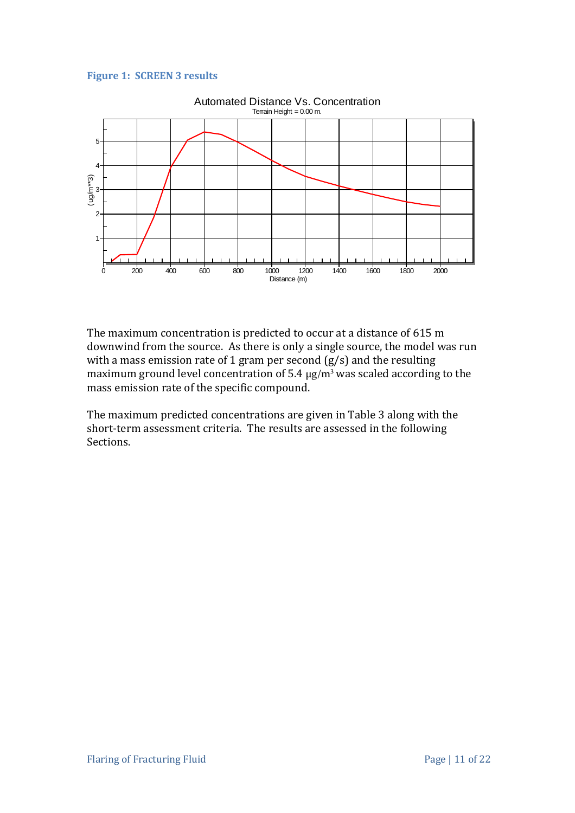#### <span id="page-13-0"></span>**Figure 1: SCREEN 3 results**



The maximum concentration is predicted to occur at a distance of 615 m downwind from the source. As there is only a single source, the model was run with a mass emission rate of 1 gram per second  $(g/s)$  and the resulting maximum ground level concentration of  $5.4 \ \mu g/m^3$  was scaled according to the mass emission rate of the specific compound.

The maximum predicted concentrations are given in Table 3 along with the short-term assessment criteria. The results are assessed in the following Sections.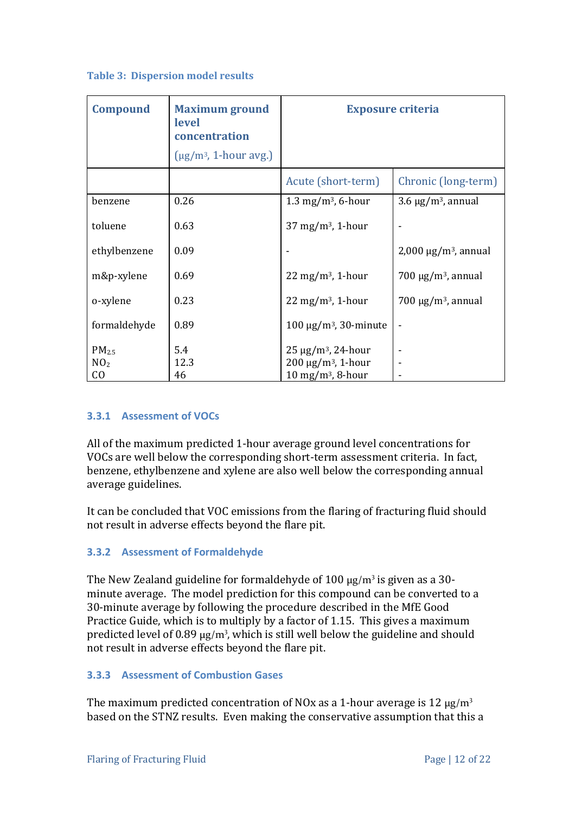| <b>Compound</b>   | <b>Maximum ground</b><br>level<br>concentration | <b>Exposure criteria</b>        |                           |
|-------------------|-------------------------------------------------|---------------------------------|---------------------------|
|                   | $(\mu g/m^3, 1$ -hour avg.)                     |                                 |                           |
|                   |                                                 | Acute (short-term)              | Chronic (long-term)       |
| benzene           | 0.26                                            | $1.3 \text{ mg/m}^3$ , 6-hour   | $3.6 \mu g/m3$ , annual   |
| toluene           | 0.63                                            | $37 \text{ mg/m}^3$ , 1-hour    |                           |
| ethylbenzene      | 0.09                                            |                                 | $2,000 \mu g/m3$ , annual |
| m&p-xylene        | 0.69                                            | $22$ mg/m <sup>3</sup> , 1-hour | $700 \mu g/m^3$ , annual  |
| o-xylene          | 0.23                                            | $22 \text{ mg/m}^3$ , 1-hour    | $700 \mu g/m^3$ , annual  |
| formaldehyde      | 0.89                                            | $100 \mu g/m^3$ , 30-minute     |                           |
| PM <sub>2.5</sub> | 5.4                                             | $25 \mu g/m^3$ , 24-hour        |                           |
| NO <sub>2</sub>   | 12.3                                            | $200 \mu g/m^3$ , 1-hour        |                           |
| C <sub>0</sub>    | 46                                              | $10 \text{ mg/m}^3$ , 8-hour    |                           |

#### <span id="page-14-3"></span>**Table 3: Dispersion model results**

### <span id="page-14-0"></span>**3.3.1 Assessment of VOCs**

All of the maximum predicted 1-hour average ground level concentrations for VOCs are well below the corresponding short-term assessment criteria. In fact, benzene, ethylbenzene and xylene are also well below the corresponding annual average guidelines.

It can be concluded that VOC emissions from the flaring of fracturing fluid should not result in adverse effects beyond the flare pit.

### <span id="page-14-1"></span>**3.3.2 Assessment of Formaldehyde**

The New Zealand guideline for formaldehyde of  $100 \,\mathrm{\mu g/m^3}$  is given as a  $30$ minute average. The model prediction for this compound can be converted to a 30-minute average by following the procedure described in the MfE Good Practice Guide, which is to multiply by a factor of 1.15. This gives a maximum predicted level of 0.89  $\mu$ g/m<sup>3</sup>, which is still well below the guideline and should not result in adverse effects beyond the flare pit.

### <span id="page-14-2"></span>**3.3.3 Assessment of Combustion Gases**

The maximum predicted concentration of NOx as a 1-hour average is 12  $\mu$ g/m<sup>3</sup> based on the STNZ results. Even making the conservative assumption that this a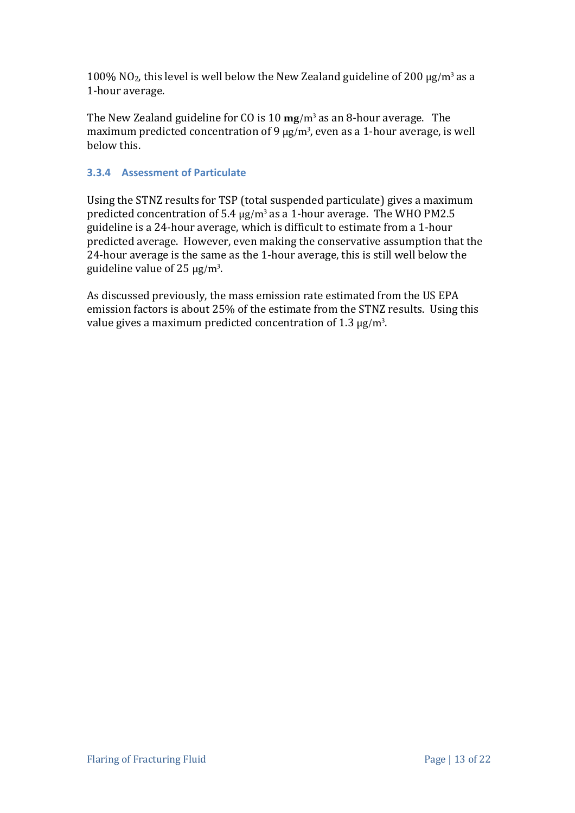100% NO<sub>2</sub>, this level is well below the New Zealand guideline of 200  $\mu$ g/m<sup>3</sup> as a 1-hour average.

The New Zealand guideline for CO is 10 **mg**/m<sup>3</sup> as an 8-hour average. The maximum predicted concentration of 9  $\mu$ g/m $^3$ , even as a 1-hour average, is well below this.

### <span id="page-15-0"></span>**3.3.4 Assessment of Particulate**

Using the STNZ results for TSP (total suspended particulate) gives a maximum predicted concentration of 5.4  $\mu$ g/m<sup>3</sup> as a 1-hour average. The WHO PM2.5 guideline is a 24-hour average, which is difficult to estimate from a 1-hour predicted average. However, even making the conservative assumption that the 24-hour average is the same as the 1-hour average, this is still well below the guideline value of 25  $\mu$ g/m<sup>3</sup>.

As discussed previously, the mass emission rate estimated from the US EPA emission factors is about 25% of the estimate from the STNZ results. Using this value gives a maximum predicted concentration of 1.3  $\mu$ g/m<sup>3</sup>.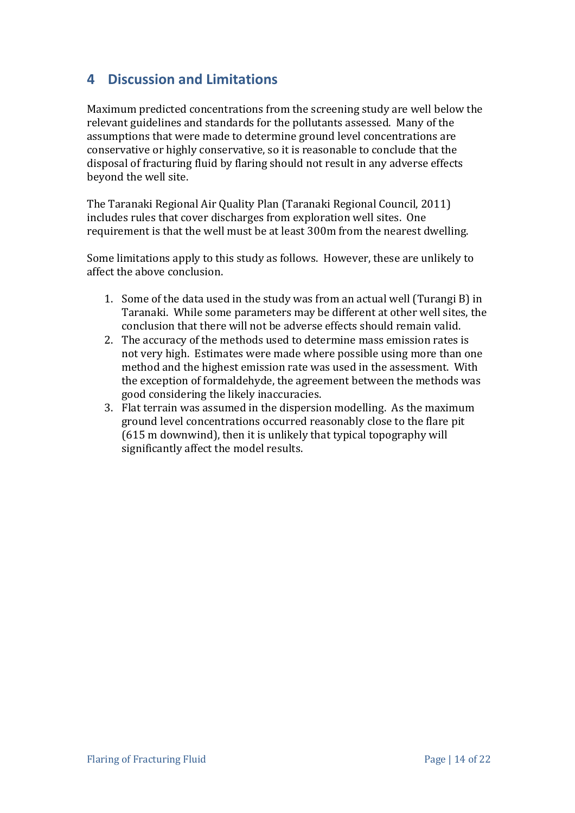### <span id="page-16-0"></span>**4 Discussion and Limitations**

Maximum predicted concentrations from the screening study are well below the relevant guidelines and standards for the pollutants assessed. Many of the assumptions that were made to determine ground level concentrations are conservative or highly conservative, so it is reasonable to conclude that the disposal of fracturing fluid by flaring should not result in any adverse effects beyond the well site.

The Taranaki Regional Air Quality Plan (Taranaki Regional Council, 2011) includes rules that cover discharges from exploration well sites. One requirement is that the well must be at least 300m from the nearest dwelling.

Some limitations apply to this study as follows. However, these are unlikely to affect the above conclusion.

- 1. Some of the data used in the study was from an actual well (Turangi B) in Taranaki. While some parameters may be different at other well sites, the conclusion that there will not be adverse effects should remain valid.
- 2. The accuracy of the methods used to determine mass emission rates is not very high. Estimates were made where possible using more than one method and the highest emission rate was used in the assessment. With the exception of formaldehyde, the agreement between the methods was good considering the likely inaccuracies.
- 3. Flat terrain was assumed in the dispersion modelling. As the maximum ground level concentrations occurred reasonably close to the flare pit (615 m downwind), then it is unlikely that typical topography will significantly affect the model results.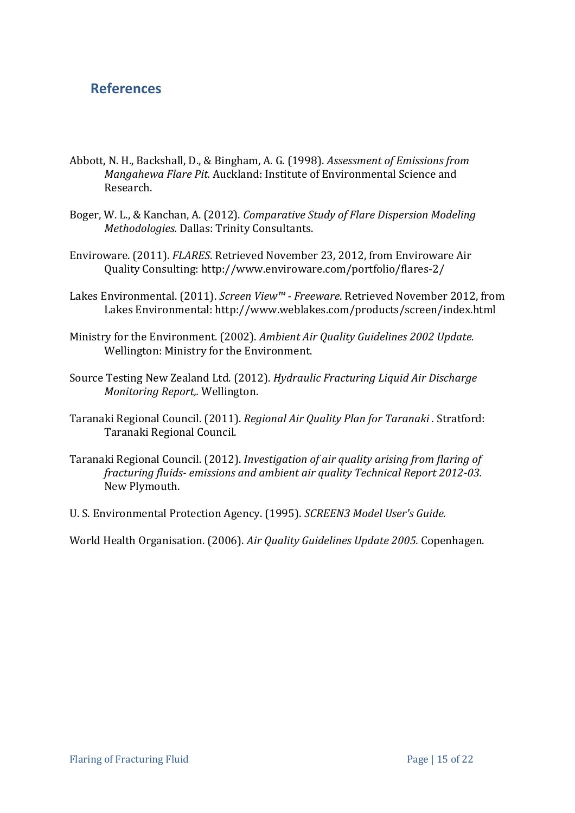## <span id="page-17-0"></span>**References**

- Abbott, N. H., Backshall, D., & Bingham, A. G. (1998). *Assessment of Emissions from Mangahewa Flare Pit.* Auckland: Institute of Environmental Science and Research.
- Boger, W. L., & Kanchan, A. (2012). *Comparative Study of Flare Dispersion Modeling Methodologies.* Dallas: Trinity Consultants.
- Enviroware. (2011). *FLARES*. Retrieved November 23, 2012, from Enviroware Air Quality Consulting: http://www.enviroware.com/portfolio/flares-2/
- Lakes Environmental. (2011). *Screen View™ Freeware*. Retrieved November 2012, from Lakes Environmental: http://www.weblakes.com/products/screen/index.html
- Ministry for the Environment. (2002). *Ambient Air Quality Guidelines 2002 Update.* Wellington: Ministry for the Environment.
- Source Testing New Zealand Ltd. (2012). *Hydraulic Fracturing Liquid Air Discharge Monitoring Report,.* Wellington.
- Taranaki Regional Council. (2011). *Regional Air Quality Plan for Taranaki .* Stratford: Taranaki Regional Council.
- Taranaki Regional Council. (2012). *Investigation of air quality arising from flaring of fracturing fluids- emissions and ambient air quality Technical Report 2012-03.* New Plymouth.
- U. S. Environmental Protection Agency. (1995). *SCREEN3 Model User's Guide.*

World Health Organisation. (2006). *Air Quality Guidelines Update 2005.* Copenhagen.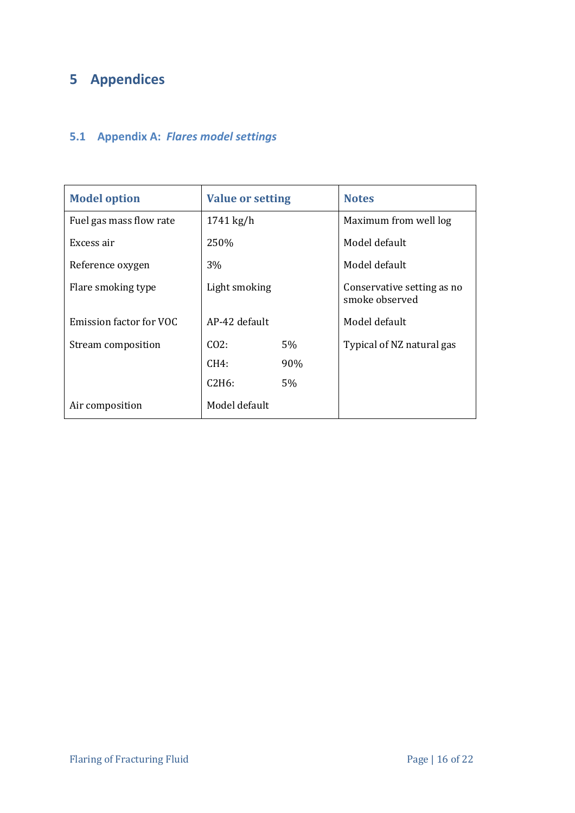# <span id="page-18-0"></span>**5 Appendices**

# <span id="page-18-1"></span>**5.1 Appendix A:** *Flares model settings*

| <b>Model option</b>     | <b>Value or setting</b> |       | <b>Notes</b>                                 |  |
|-------------------------|-------------------------|-------|----------------------------------------------|--|
| Fuel gas mass flow rate | $1741$ kg/h             |       | Maximum from well log                        |  |
| Excess air              | 250%                    |       | Model default                                |  |
| Reference oxygen        | 3%                      |       | Model default                                |  |
| Flare smoking type      | Light smoking           |       | Conservative setting as no<br>smoke observed |  |
| Emission factor for VOC | AP-42 default           |       | Model default                                |  |
| Stream composition      | $CO2$ :                 | $5\%$ | Typical of NZ natural gas                    |  |
|                         | CH4:                    | 90%   |                                              |  |
|                         | C2H6:                   | 5%    |                                              |  |
| Air composition         | Model default           |       |                                              |  |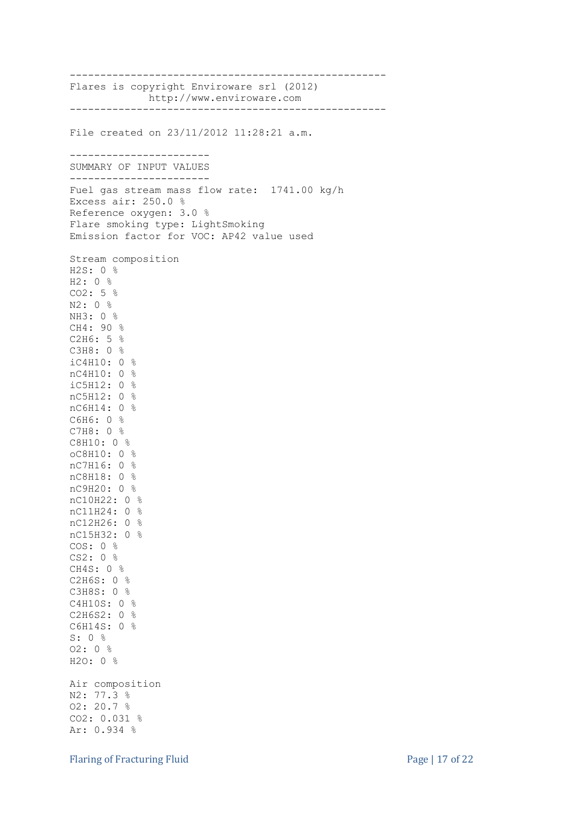```
----------------------------------------------------
Flares is copyright Enviroware srl (2012)
       http://www.enviroware.com
----------------------------------------------------
File created on 23/11/2012 11:28:21 a.m.
-----------------------
SUMMARY OF INPUT VALUES
-----------------------
Fuel gas stream mass flow rate: 1741.00 kg/h
Excess air: 250.0 %
Reference oxygen: 3.0 %
Flare smoking type: LightSmoking
Emission factor for VOC: AP42 value used
Stream composition
H2S: 0 %
H2: 0 %
CO2: 5 %
N2: 0 %
NH3: 0 %
CH4: 90 %
C2H6: 5 %
C3H8: 0 %
iC4H10: 0 %
nC4H10: 0 %
iC5H12: 0 %
nC5H12: 0 %
nC6H14: 0 %
C6H6: 0 %
C7H8: 0 %
C8H10: 0 %
oC8H10: 0 %
nC7H16: 0 %
nC8H18: 0 %
nC9H20: 0 %
nC10H22: 0 %
nC11H24: 0 %
nC12H26: 0 %
nC15H32: 0 %
COS: 0 %
CS2: 0 %
CH4S: 0 %
C2H6S: 0 %
C3H8S: 0 %
C4H10S: 0 %
C2H6S2: 0 %
C6H14S: 0 %
S: 0 %
O2: 0 %
H2O: 0 %
Air composition
N2: 77.3 %
O2: 20.7 %
CO2: 0.031 %
Ar: 0.934 %
```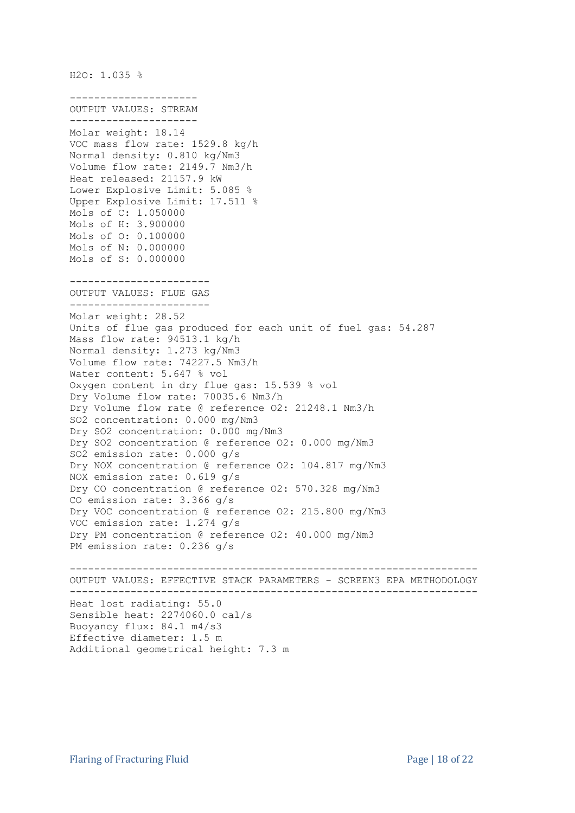H2O: 1.035 %

--------------------- OUTPUT VALUES: STREAM --------------------- Molar weight: 18.14 VOC mass flow rate: 1529.8 kg/h Normal density: 0.810 kg/Nm3 Volume flow rate: 2149.7 Nm3/h Heat released: 21157.9 kW Lower Explosive Limit: 5.085 % Upper Explosive Limit: 17.511 % Mols of C: 1.050000 Mols of H: 3.900000 Mols of O: 0.100000 Mols of N: 0.000000 Mols of S: 0.000000 ----------------------- OUTPUT VALUES: FLUE GAS ----------------------- Molar weight: 28.52 Units of flue gas produced for each unit of fuel gas: 54.287 Mass flow rate: 94513.1 kg/h Normal density: 1.273 kg/Nm3 Volume flow rate: 74227.5 Nm3/h Water content: 5.647 % vol Oxygen content in dry flue gas: 15.539 % vol Dry Volume flow rate: 70035.6 Nm3/h Dry Volume flow rate @ reference O2: 21248.1 Nm3/h SO2 concentration: 0.000 mg/Nm3 Dry SO2 concentration: 0.000 mg/Nm3 Dry SO2 concentration @ reference 02: 0.000 mg/Nm3 SO2 emission rate: 0.000 g/s Dry NOX concentration @ reference O2: 104.817 mg/Nm3 NOX emission rate: 0.619 g/s Dry CO concentration @ reference O2: 570.328 mg/Nm3 CO emission rate: 3.366 g/s Dry VOC concentration @ reference O2: 215.800 mg/Nm3 VOC emission rate: 1.274 g/s Dry PM concentration @ reference O2: 40.000 mg/Nm3 PM emission rate: 0.236 g/s ------------------------------------------------------------------- OUTPUT VALUES: EFFECTIVE STACK PARAMETERS - SCREEN3 EPA METHODOLOGY ------------------------------------------------------------------- Heat lost radiating: 55.0

Sensible heat: 2274060.0 cal/s Buoyancy flux: 84.1 m4/s3 Effective diameter: 1.5 m Additional geometrical height: 7.3 m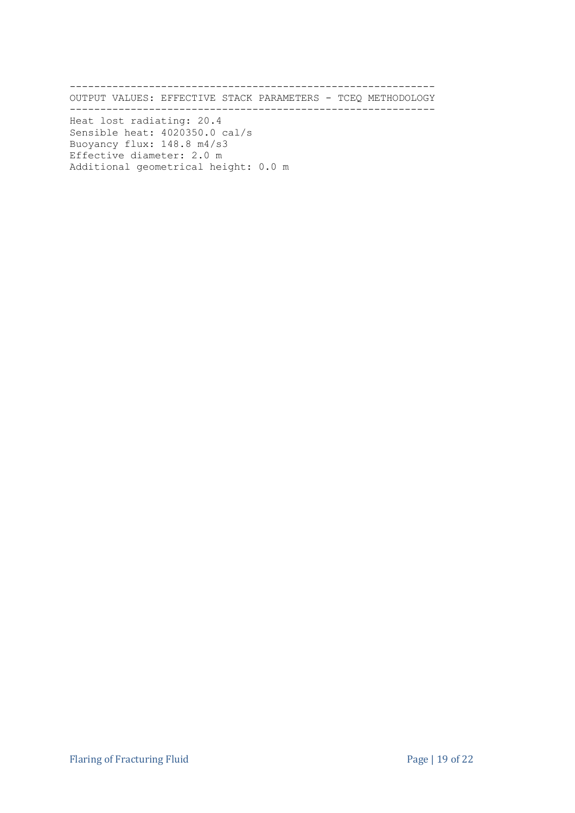------------------------------------------------------------ OUTPUT VALUES: EFFECTIVE STACK PARAMETERS - TCEQ METHODOLOGY ------------------------------------------------------------ Heat lost radiating: 20.4 Sensible heat: 4020350.0 cal/s Buoyancy flux: 148.8 m4/s3 Effective diameter: 2.0 m Additional geometrical height: 0.0 m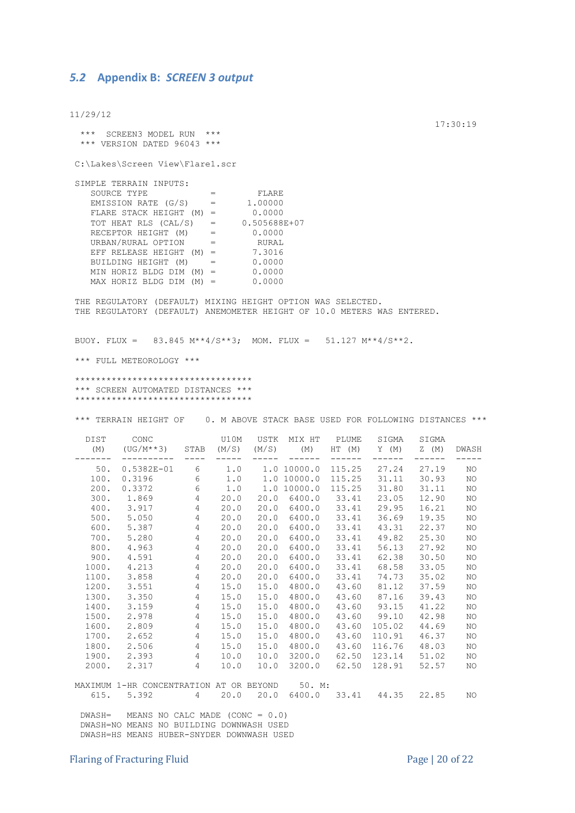#### <span id="page-22-0"></span>*5.2* **Appendix B:** *SCREEN 3 output*

11/29/12

 17:30:19 \*\*\* SCREEN3 MODEL RUN \*\*\* \*\*\* VERSION DATED 96043 \*\*\* C:\Lakes\Screen View\Flare1.scr SIMPLE TERRAIN INPUTS: SOURCE TYPE  $=$  FLARE  $EMISSION RATE (G/S) = 1.00000$ FLARE STACK HEIGHT (M) = 0.0000 TOT HEAT RLS  $(CAL/S)$  = 0.505688E+07 RECEPTOR HEIGHT (M) = 0.0000 RECEPTOR HEIGHT (M) = 0.0000<br>URBAN/RURAL OPTION = RURAL<br>EFF RELEASE HEIGHT (M) = 7.3016 EFF RELEASE HEIGHT  $(M) =$ BUILDING HEIGHT (M) = 0.0000<br>MIN HORIZ BLDG DIM (M) = 0.0000 MIN HORIZ BLDG DIM  $(M) =$  $MAX$  HORIZ BLDG DIM  $(M)$  = 0.0000 THE REGULATORY (DEFAULT) MIXING HEIGHT OPTION WAS SELECTED. THE REGULATORY (DEFAULT) ANEMOMETER HEIGHT OF 10.0 METERS WAS ENTERED. BUOY. FLUX = 83.845 M\*\*4/S\*\*3; MOM. FLUX = 51.127 M\*\*4/S\*\*2. \*\*\* FULL METEOROLOGY \*\*\* \*\*\*\*\*\*\*\*\*\*\*\*\*\*\*\*\*\*\*\*\*\*\*\*\*\*\*\*\*\*\*\*\*\* \*\*\* SCREEN AUTOMATED DISTANCES \*\*\* \*\*\*\*\*\*\*\*\*\*\*\*\*\*\*\*\*\*\*\*\*\*\*\*\*\*\*\*\*\*\*\*\*\* \*\*\* TERRAIN HEIGHT OF 0. M ABOVE STACK BASE USED FOR FOLLOWING DISTANCES \*\*\* DIST CONC U10M USTK MIX HT PLUME SIGMA SIGMA (M) (UG/M\*\*3) STAB (M/S) (M/S) (M) HT (M) Y (M) Z (M) DWASH ------- ---------- ---- ----- ----- ------ ------ ------ ------ ----- 50. 0.5382E-01 6 1.0 1.0 10000.0 115.25 27.24 27.19 NO 100. 0.3196 6 1.0 1.0 10000.0 115.25 31.11 30.93 NO 200. 0.3372 6 1.0 1.0 10000.0 115.25 31.80 31.11 NO 300. 1.869 4 20.0 20.0 6400.0 33.41 23.05 12.90 NO 400. 3.917 4 20.0 20.0 6400.0 33.41 29.95 16.21 NO 500. 5.050 4 20.0 20.0 6400.0 33.41 36.69 19.35 NO 600. 5.387 4 20.0 20.0 6400.0 33.41 43.31 22.37 NO 700. 5.280 4 20.0 20.0 6400.0 33.41 49.82 25.30 NO 800. 4.963 4 20.0 20.0 6400.0 33.41 56.13 27.92 NO 900. 4.591 4 20.0 20.0 6400.0 33.41 62.38 30.50 NO 1000. 4.213 4 20.0 20.0 6400.0 33.41 68.58 33.05 NO 1100. 5.280<br>
1100. 4.963<br>
1100. 4.591<br>
1100. 3.858<br>
1100. 3.858<br>
1100. 3.858<br>
1100. 20.0 20.0 6400.0 33.41<br>
1100. 3.858<br>
1100. 20.0 20.0 6400.0 33.41<br>
1100. 3.858<br>
1100. 20.0 20.0 6400.0 33.41<br>
1100. 3.858<br>
1100. 20.0 20.0 1200. 3.551 4 15.0 15.0 4800.0 43.60 81.12 37.59 NO 1300. 3.350 4 15.0 15.0 4800.0 43.60 87.16 39.43 NO 1400. 3.159 4 15.0 15.0 4800.0 43.60 93.15 41.22 NO 1500. 2.978 4 15.0 15.0 4800.0 43.60 99.10 42.98 NO 1600. 2.809 4 15.0 15.0 4800.0 43.60 105.02 44.69 NO 1700. 2.652 4 15.0 15.0 4800.0 43.60 110.91 46.37 NO 1800. 2.506 4 15.0 15.0 4800.0 43.60 116.76 48.03 NO 1900. 2.393 4 10.0 10.0 3200.0 62.50 123.14 51.02 NO 2000. 2.317 4 10.0 10.0 3200.0 62.50 128.91 52.57 NO MAXIMUM 1-HR CONCENTRATION AT OR BEYOND 50. M: 615. 5.392 4 20.0 20.0 6400.0 33.41 44.35 22.85 NO DWASH= MEANS NO CALC MADE (CONC = 0.0) DWASH=NO MEANS NO BUILDING DOWNWASH USED

DWASH=HS MEANS HUBER-SNYDER DOWNWASH USED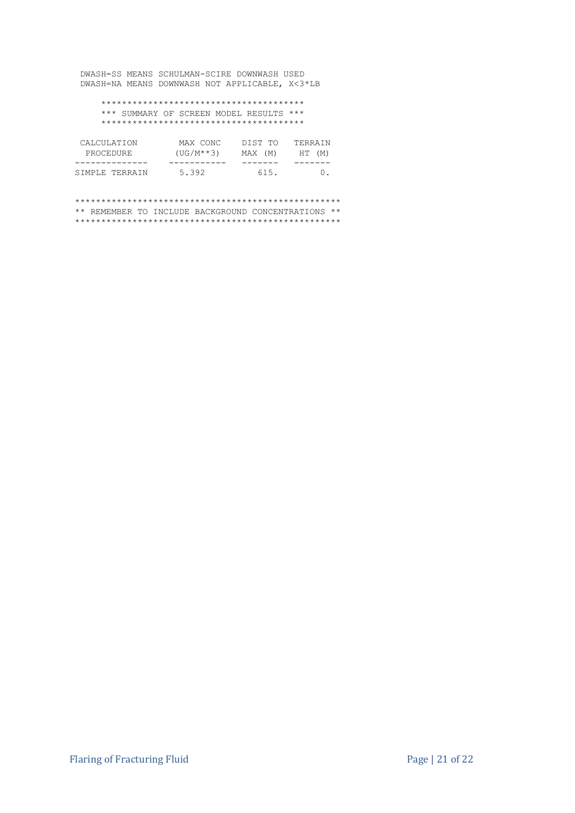DWASH=SS MEANS SCHULMAN-SCIRE DOWNWASH USED DWASH=NA MEANS DOWNWASH NOT APPLICABLE, X<3\*LB

#### \*\*\*\*\*\*\*\*\*\*\*\*\*\*\*\*\*\*\*\*\*\*\*\*\*\*\*\*\*\*\*\*\*\*\*\*\*\*\* \*\*\* SUMMARY OF SCREEN MODEL RESULTS \*\*\* \*\*\*\*\*\*\*\*\*\*\*\*\*\*\*\*\*\*\*\*\*\*\*\*\*\*\*\*\*\*\*\*\*\*\*\*\*\*\*

| CALCULATION    | MAX CONC    | DIST TO | TERRAIN |
|----------------|-------------|---------|---------|
| PROCEDURE      | $(UG/M**3)$ | MAX (M) | HT (M)  |
| SIMPLE TERRAIN | 5.392       | 615.    | $\cap$  |

\*\*\*\*\*\*\*\*\*\*\*\*\*\*\*\*\*\*\*\*\*\*\*\*\*\*\*\*\*\*\*\*\*\*\*\*\*\*\*\*\*\*\*\*\*\*\*\*\*\*\* \*\* REMEMBER TO INCLUDE BACKGROUND CONCENTRATIONS \*\* \*\*\*\*\*\*\*\*\*\*\*\*\*\*\*\*\*\*\*\*\*\*\*\*\*\*\*\*\*\*\*\*\*\*\*\*\*\*\*\*\*\*\*\*\*\*\*\*\*\*\*